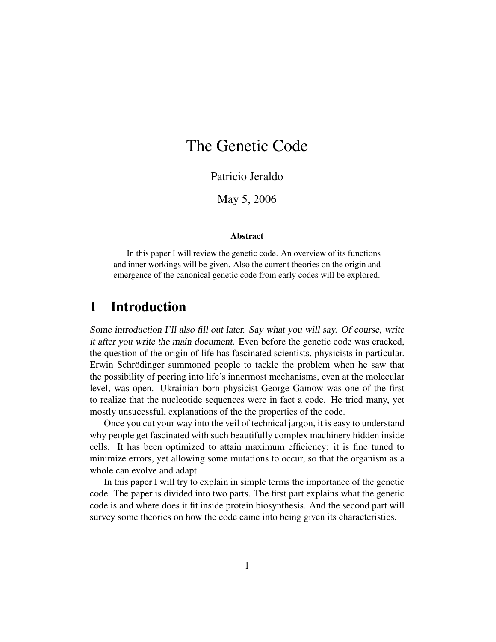# The Genetic Code

Patricio Jeraldo

May 5, 2006

#### Abstract

In this paper I will review the genetic code. An overview of its functions and inner workings will be given. Also the current theories on the origin and emergence of the canonical genetic code from early codes will be explored.

### 1 Introduction

Some introduction I'll also fill out later. Say what you will say. Of course, write it after you write the main document. Even before the genetic code was cracked, the question of the origin of life has fascinated scientists, physicists in particular. Erwin Schrödinger summoned people to tackle the problem when he saw that the possibility of peering into life's innermost mechanisms, even at the molecular level, was open. Ukrainian born physicist George Gamow was one of the first to realize that the nucleotide sequences were in fact a code. He tried many, yet mostly unsucessful, explanations of the the properties of the code.

Once you cut your way into the veil of technical jargon, it is easy to understand why people get fascinated with such beautifully complex machinery hidden inside cells. It has been optimized to attain maximum efficiency; it is fine tuned to minimize errors, yet allowing some mutations to occur, so that the organism as a whole can evolve and adapt.

In this paper I will try to explain in simple terms the importance of the genetic code. The paper is divided into two parts. The first part explains what the genetic code is and where does it fit inside protein biosynthesis. And the second part will survey some theories on how the code came into being given its characteristics.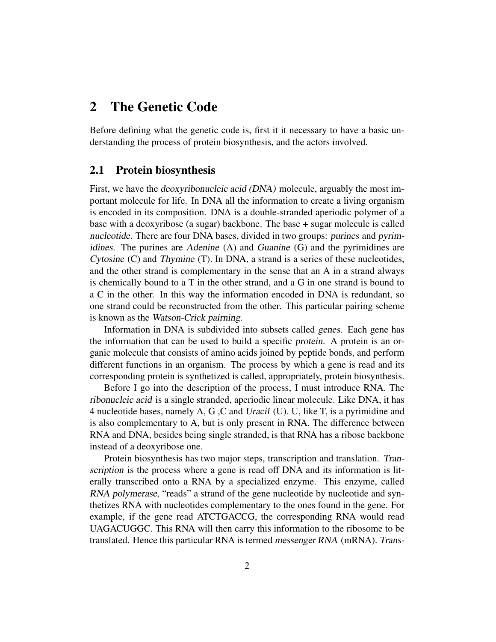## 2 The Genetic Code

Before defining what the genetic code is, first it it necessary to have a basic understanding the process of protein biosynthesis, and the actors involved.

#### 2.1 Protein biosynthesis

First, we have the deoxyribonucleic acid (DNA) molecule, arguably the most important molecule for life. In DNA all the information to create a living organism is encoded in its composition. DNA is a double-stranded aperiodic polymer of a base with a deoxyribose (a sugar) backbone. The base + sugar molecule is called nucleotide. There are four DNA bases, divided in two groups: purines and pyrimidines. The purines are Adenine (A) and Guanine (G) and the pyrimidines are Cytosine (C) and Thymine (T). In DNA, a strand is a series of these nucleotides, and the other strand is complementary in the sense that an A in a strand always is chemically bound to a T in the other strand, and a G in one strand is bound to a C in the other. In this way the information encoded in DNA is redundant, so one strand could be reconstructed from the other. This particular pairing scheme is known as the Watson-Crick pairning.

Information in DNA is subdivided into subsets called genes. Each gene has the information that can be used to build a specific protein. A protein is an organic molecule that consists of amino acids joined by peptide bonds, and perform different functions in an organism. The process by which a gene is read and its corresponding protein is synthetized is called, appropriately, protein biosynthesis.

Before I go into the description of the process, I must introduce RNA. The ribonucleic acid is a single stranded, aperiodic linear molecule. Like DNA, it has 4 nucleotide bases, namely A, G ,C and Uracil (U). U, like T, is a pyrimidine and is also complementary to A, but is only present in RNA. The difference between RNA and DNA, besides being single stranded, is that RNA has a ribose backbone instead of a deoxyribose one.

Protein biosynthesis has two major steps, transcription and translation. Transcription is the process where a gene is read off DNA and its information is literally transcribed onto a RNA by a specialized enzyme. This enzyme, called RNA polymerase, "reads" a strand of the gene nucleotide by nucleotide and synthetizes RNA with nucleotides complementary to the ones found in the gene. For example, if the gene read ATCTGACCG, the corresponding RNA would read UAGACUGGC. This RNA will then carry this information to the ribosome to be translated. Hence this particular RNA is termed messenger RNA (mRNA). Trans-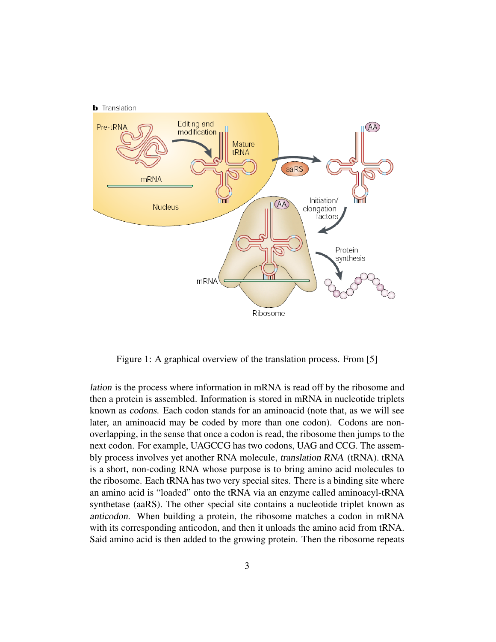

Figure 1: A graphical overview of the translation process. From [5]

lation is the process where information in mRNA is read off by the ribosome and then a protein is assembled. Information is stored in mRNA in nucleotide triplets known as codons. Each codon stands for an aminoacid (note that, as we will see later, an aminoacid may be coded by more than one codon). Codons are nonoverlapping, in the sense that once a codon is read, the ribosome then jumps to the next codon. For example, UAGCCG has two codons, UAG and CCG. The assembly process involves yet another RNA molecule, translation RNA (tRNA). tRNA is a short, non-coding RNA whose purpose is to bring amino acid molecules to the ribosome. Each tRNA has two very special sites. There is a binding site where an amino acid is "loaded" onto the tRNA via an enzyme called aminoacyl-tRNA synthetase (aaRS). The other special site contains a nucleotide triplet known as anticodon. When building a protein, the ribosome matches a codon in mRNA with its corresponding anticodon, and then it unloads the amino acid from tRNA. Said amino acid is then added to the growing protein. Then the ribosome repeats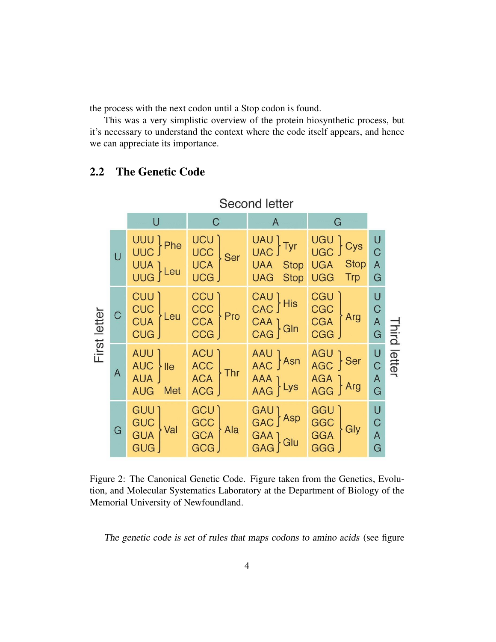the process with the next codon until a Stop codon is found.

This was a very simplistic overview of the protein biosynthetic process, but it's necessary to understand the context where the code itself appears, and hence we can appreciate its importance.

| <b>Second letter</b> |                |                                                             |                                                |                                                         |                                                                     |                                          |                     |
|----------------------|----------------|-------------------------------------------------------------|------------------------------------------------|---------------------------------------------------------|---------------------------------------------------------------------|------------------------------------------|---------------------|
|                      |                | $\cup$                                                      | $\mathsf C$                                    | A                                                       | G                                                                   |                                          |                     |
| First letter         | $\overline{U}$ | UUU } Phe<br>UUA ] Leu                                      | <b>UCU</b><br><b>UCC</b><br>UCA<br>Ser<br>UCG. | UAU Tyr<br><b>UAA</b> Stop<br><b>UAG</b><br><b>Stop</b> | nec<br>Cys<br><b>Stop</b><br><b>UGA</b><br><b>UGG</b><br><b>Trp</b> | U<br>$\overline{C}$<br>$\mathsf{A}$<br>G | <b>Third letter</b> |
|                      | $\mathsf C$    | CUU<br><b>CUC</b><br>CUA<br>Leu<br>CUG J                    | CCN.<br>CCC<br>CCA<br>CCG<br>Pro               | CAU His<br>CAA } GIn                                    | <b>CGU</b><br>CGC<br>CGA<br>Arg<br><b>CGG</b>                       | U<br>$\mathsf C$<br>A                    |                     |
|                      | $\mathsf{A}$   | AUU <sup>1</sup><br><b>AUC</b><br> e <br>AUA J<br>AUG Met   | ACU<br>ACC<br>ACA<br>Thr<br><b>ACG</b>         | AAU } Asn<br>AAA<br>AAG } Lys                           | $AGU$ Ser<br>$AGA$ $\}$ Arg                                         | U<br>C<br>A<br>G                         |                     |
|                      | G              | GUU <sup>'</sup><br><b>GUC<br/>GUA</b><br>Val<br><b>GUG</b> | <b>GCU</b><br>GCC<br>GCA<br>GCG<br>Ala         | GAU ]<br>GAC ] Asp<br>GAA ] Glu<br>GAG ]                | GGU<br>GGC<br>GGA<br>Gly<br>GGG                                     | U<br>$\mathsf C$<br>$\overline{A}$<br>G  |                     |

#### 2.2 The Genetic Code

Figure 2: The Canonical Genetic Code. Figure taken from the Genetics, Evolution, and Molecular Systematics Laboratory at the Department of Biology of the Memorial University of Newfoundland.

The genetic code is set of rules that maps codons to amino acids (see figure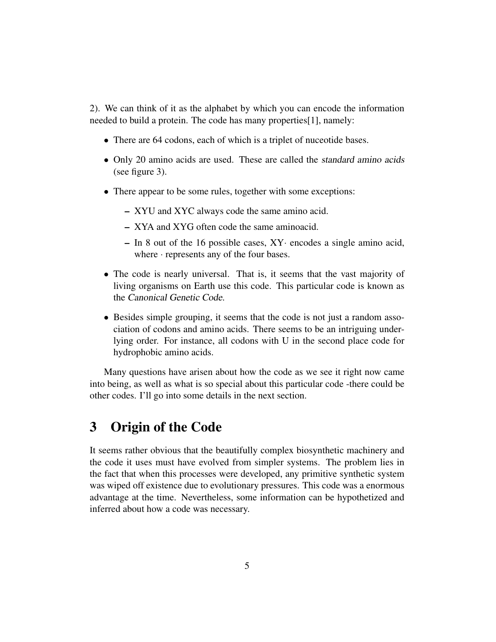2). We can think of it as the alphabet by which you can encode the information needed to build a protein. The code has many properties[1], namely:

- There are 64 codons, each of which is a triplet of nuceotide bases.
- Only 20 amino acids are used. These are called the *standard amino acids* (see figure 3).
- There appear to be some rules, together with some exceptions:
	- XYU and XYC always code the same amino acid.
	- XYA and XYG often code the same aminoacid.
	- In 8 out of the 16 possible cases, XY· encodes a single amino acid, where  $\cdot$  represents any of the four bases.
- The code is nearly universal. That is, it seems that the vast majority of living organisms on Earth use this code. This particular code is known as the Canonical Genetic Code.
- Besides simple grouping, it seems that the code is not just a random association of codons and amino acids. There seems to be an intriguing underlying order. For instance, all codons with U in the second place code for hydrophobic amino acids.

Many questions have arisen about how the code as we see it right now came into being, as well as what is so special about this particular code -there could be other codes. I'll go into some details in the next section.

### 3 Origin of the Code

It seems rather obvious that the beautifully complex biosynthetic machinery and the code it uses must have evolved from simpler systems. The problem lies in the fact that when this processes were developed, any primitive synthetic system was wiped off existence due to evolutionary pressures. This code was a enormous advantage at the time. Nevertheless, some information can be hypothetized and inferred about how a code was necessary.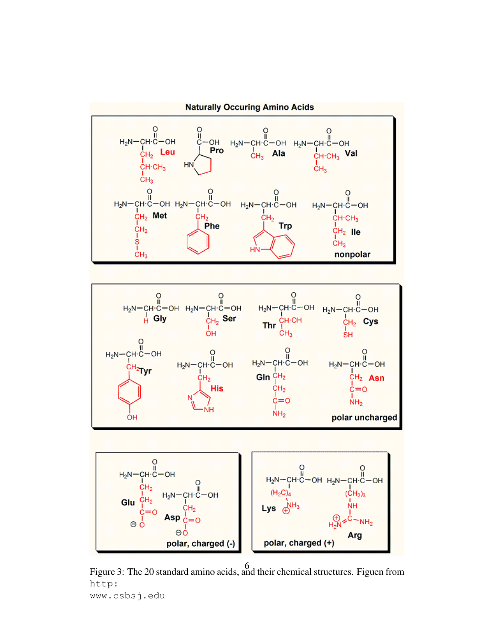

Figure 3: The 20 standard amino acids, and their chemical structures. Figuen from 6http: www.csbsj.edu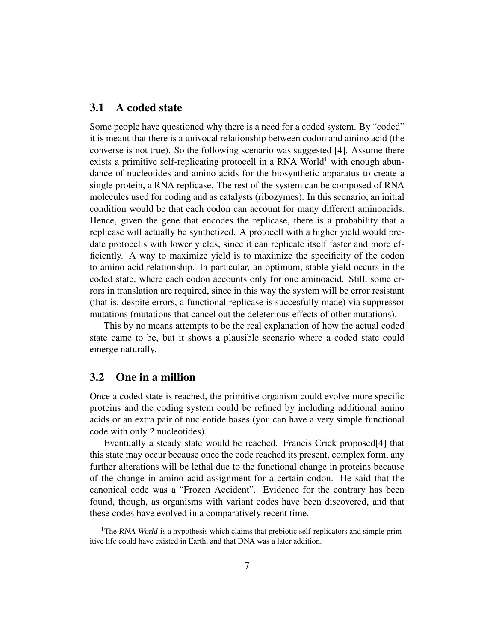#### 3.1 A coded state

Some people have questioned why there is a need for a coded system. By "coded" it is meant that there is a univocal relationship between codon and amino acid (the converse is not true). So the following scenario was suggested [4]. Assume there exists a primitive self-replicating protocell in a RNA World<sup>1</sup> with enough abundance of nucleotides and amino acids for the biosynthetic apparatus to create a single protein, a RNA replicase. The rest of the system can be composed of RNA molecules used for coding and as catalysts (ribozymes). In this scenario, an initial condition would be that each codon can account for many different aminoacids. Hence, given the gene that encodes the replicase, there is a probability that a replicase will actually be synthetized. A protocell with a higher yield would predate protocells with lower yields, since it can replicate itself faster and more efficiently. A way to maximize yield is to maximize the specificity of the codon to amino acid relationship. In particular, an optimum, stable yield occurs in the coded state, where each codon accounts only for one aminoacid. Still, some errors in translation are required, since in this way the system will be error resistant (that is, despite errors, a functional replicase is succesfully made) via suppressor mutations (mutations that cancel out the deleterious effects of other mutations).

This by no means attempts to be the real explanation of how the actual coded state came to be, but it shows a plausible scenario where a coded state could emerge naturally.

#### 3.2 One in a million

Once a coded state is reached, the primitive organism could evolve more specific proteins and the coding system could be refined by including additional amino acids or an extra pair of nucleotide bases (you can have a very simple functional code with only 2 nucleotides).

Eventually a steady state would be reached. Francis Crick proposed[4] that this state may occur because once the code reached its present, complex form, any further alterations will be lethal due to the functional change in proteins because of the change in amino acid assignment for a certain codon. He said that the canonical code was a "Frozen Accident". Evidence for the contrary has been found, though, as organisms with variant codes have been discovered, and that these codes have evolved in a comparatively recent time.

<sup>&</sup>lt;sup>1</sup>The RNA World is a hypothesis which claims that prebiotic self-replicators and simple primitive life could have existed in Earth, and that DNA was a later addition.